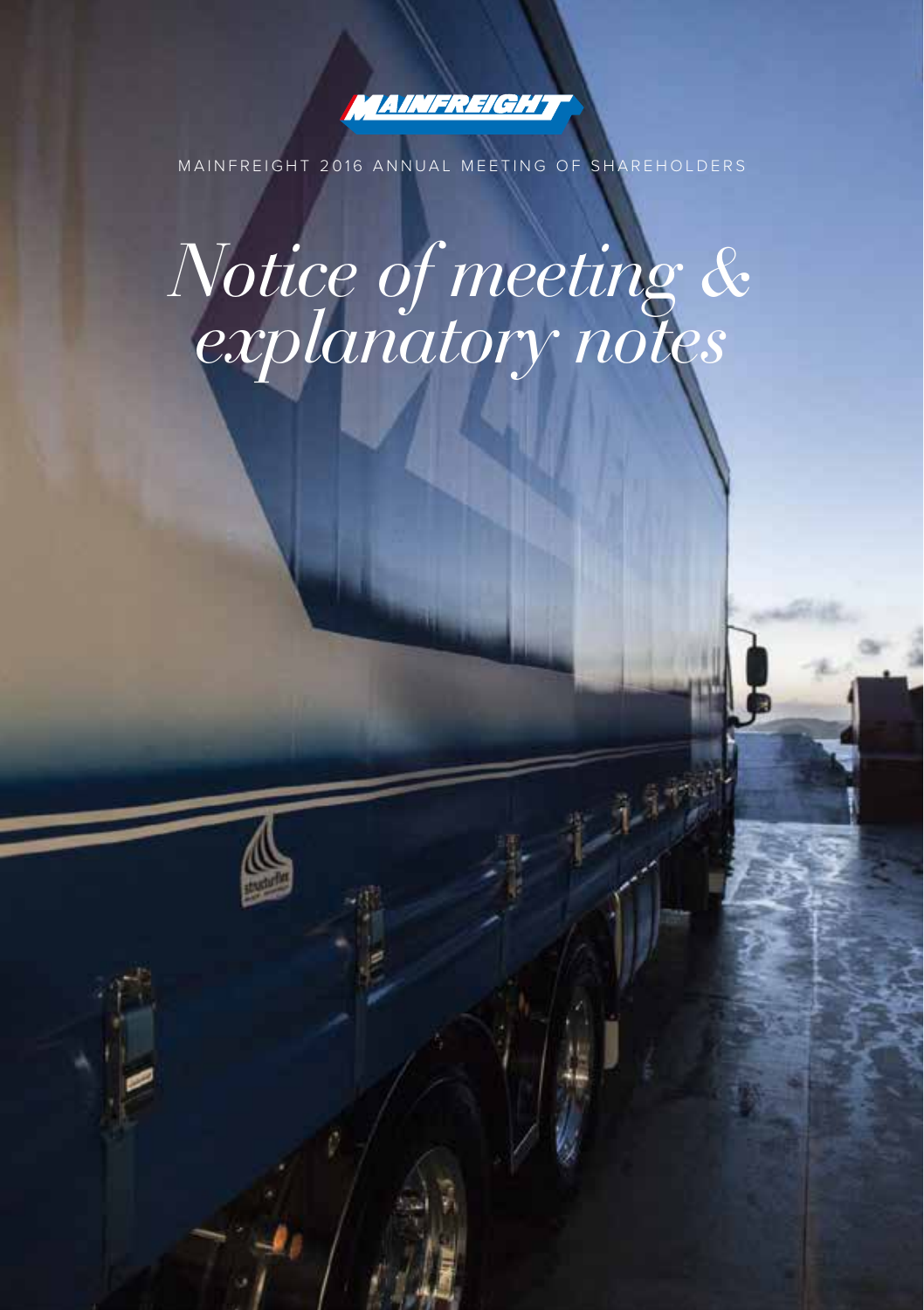

MAINFREIGHT 2016 ANNUAL MEETING OF SHAREHOLDERS

# *Notice of meeting & explanatory notes*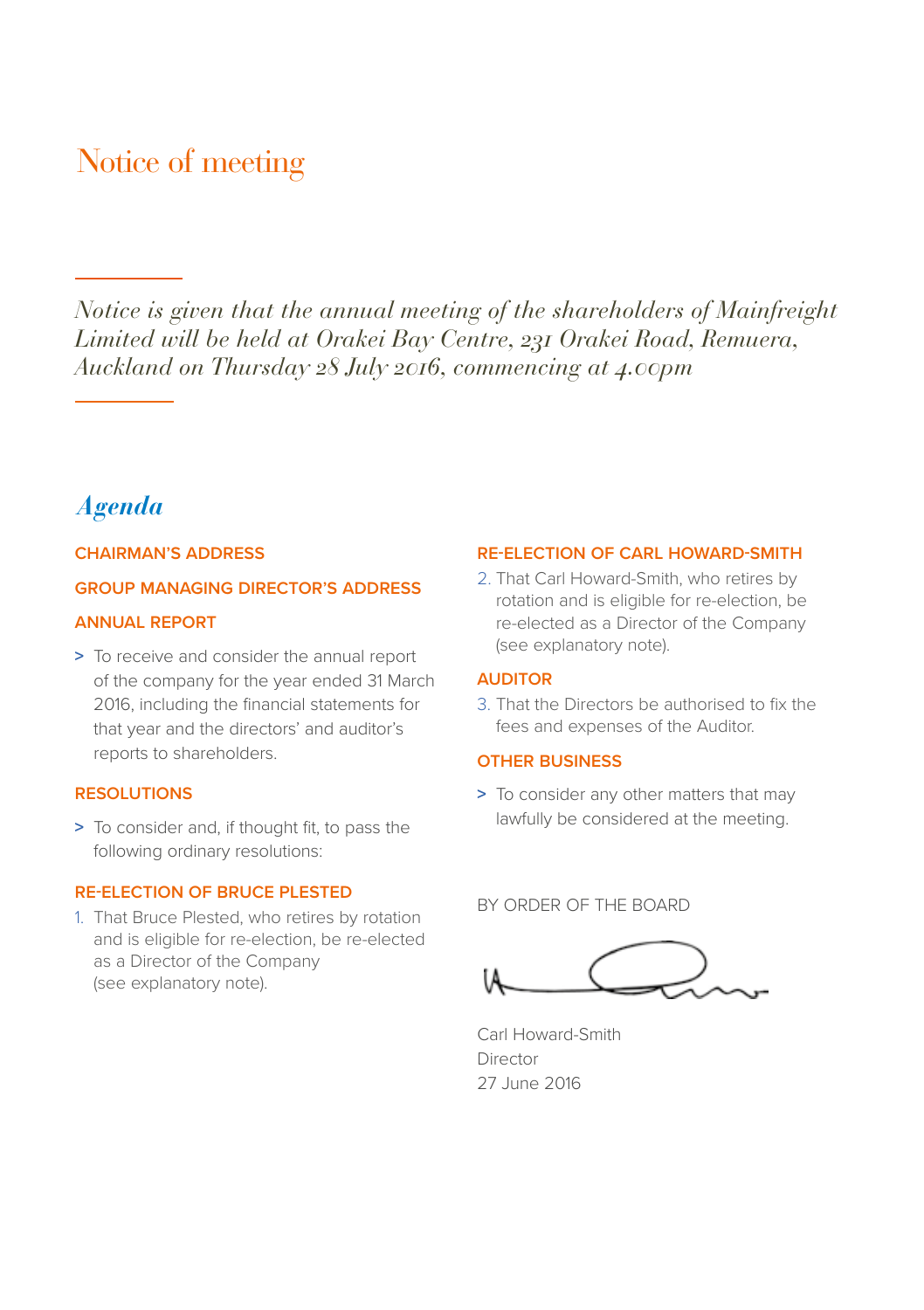## Notice of meeting

*Notice is given that the annual meeting of the shareholders of Mainfreight Limited will be held at Orakei Bay Centre, 231 Orakei Road, Remuera, Auckland on Thursday 28 July 2016, commencing at 4.00pm*

## *Agenda*

#### **CHAIRMAN'S ADDRESS**

#### **GROUP MANAGING DIRECTOR'S ADDRESS**

#### **ANNUAL REPORT**

**>** To receive and consider the annual report of the company for the year ended 31 March 2016, including the financial statements for that year and the directors' and auditor's reports to shareholders.

#### **RESOLUTIONS**

**>** To consider and, if thought fit, to pass the following ordinary resolutions:

#### **RE-ELECTION OF BRUCE PLESTED**

1. That Bruce Plested, who retires by rotation and is eligible for re-election, be re-elected as a Director of the Company (see explanatory note).

#### **RE-ELECTION OF CARL HOWARD-SMITH**

2. That Carl Howard-Smith, who retires by rotation and is eligible for re-election, be re-elected as a Director of the Company (see explanatory note).

#### **AUDITOR**

3. That the Directors be authorised to fix the fees and expenses of the Auditor.

#### **OTHER BUSINESS**

**>** To consider any other matters that may lawfully be considered at the meeting.

#### BY ORDER OF THE BOARD



Carl Howard-Smith Director 27 June 2016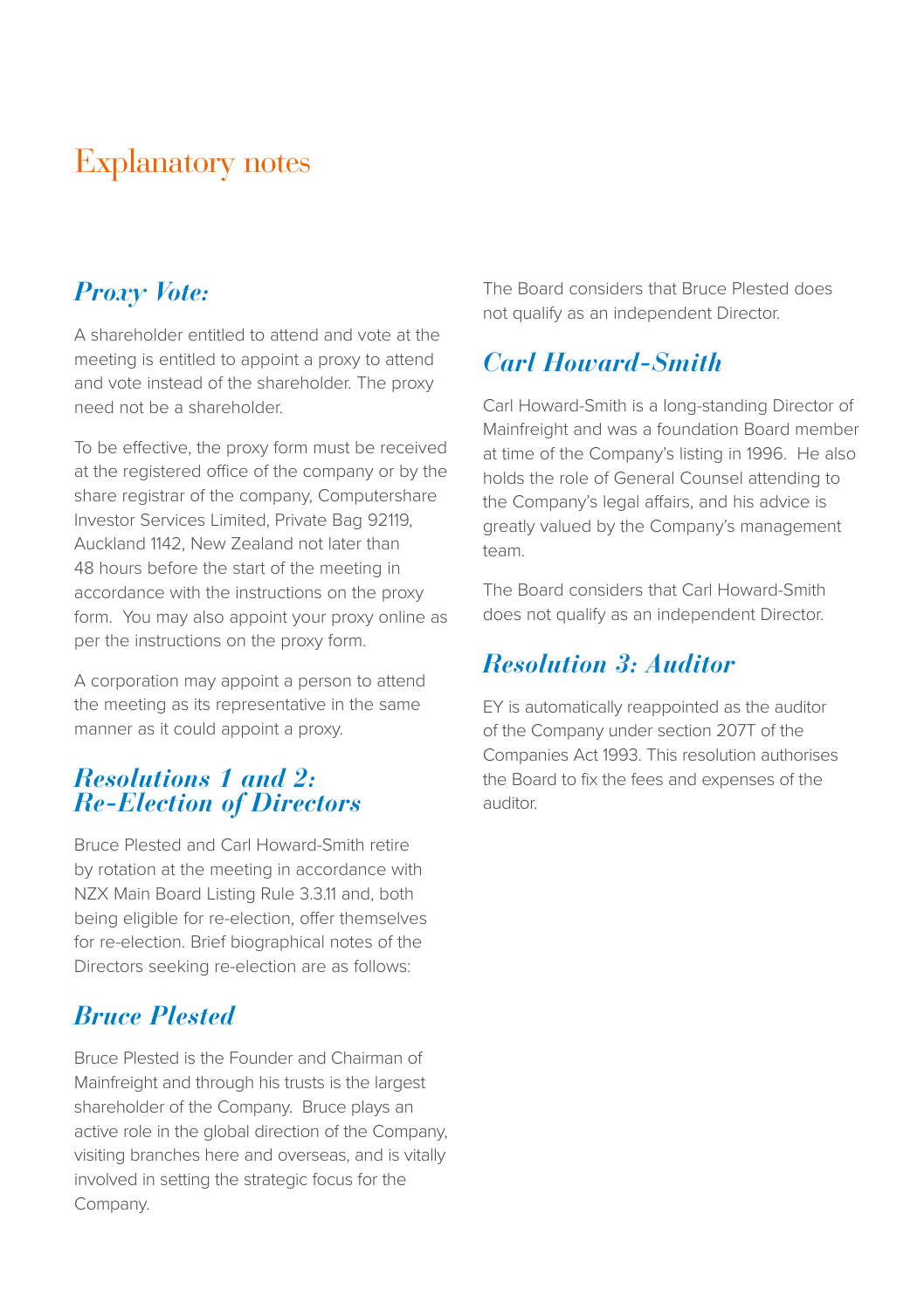# Explanatory notes

## *Proxy Vote:*

A shareholder entitled to attend and vote at the meeting is entitled to appoint a proxy to attend and vote instead of the shareholder. The proxy need not be a shareholder.

To be effective, the proxy form must be received at the registered office of the company or by the share registrar of the company, Computershare Investor Services Limited, Private Bag 92119, Auckland 1142, New Zealand not later than 48 hours before the start of the meeting in accordance with the instructions on the proxy form. You may also appoint your proxy online as per the instructions on the proxy form.

A corporation may appoint a person to attend the meeting as its representative in the same manner as it could appoint a proxy.

### *Resolutions 1 and 2: Re-Election of Directors*

Bruce Plested and Carl Howard-Smith retire by rotation at the meeting in accordance with NZX Main Board Listing Rule 3.3.11 and, both being eligible for re-election, offer themselves for re-election. Brief biographical notes of the Directors seeking re-election are as follows:

## *Bruce Plested*

Bruce Plested is the Founder and Chairman of Mainfreight and through his trusts is the largest shareholder of the Company. Bruce plays an active role in the global direction of the Company, visiting branches here and overseas, and is vitally involved in setting the strategic focus for the Company.

The Board considers that Bruce Plested does not qualify as an independent Director.

## *Carl Howard-Smith*

Carl Howard-Smith is a long-standing Director of Mainfreight and was a foundation Board member at time of the Company's listing in 1996. He also holds the role of General Counsel attending to the Company's legal affairs, and his advice is greatly valued by the Company's management team.

The Board considers that Carl Howard-Smith does not qualify as an independent Director.

## *Resolution 3: Auditor*

EY is automatically reappointed as the auditor of the Company under section 207T of the Companies Act 1993. This resolution authorises the Board to fix the fees and expenses of the auditor.